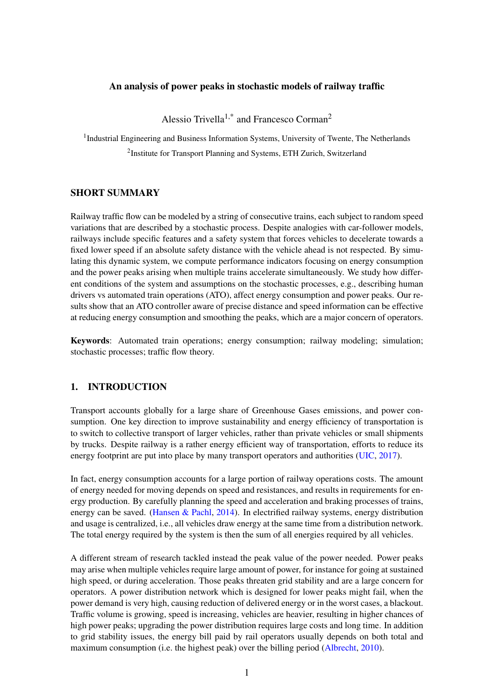## An analysis of power peaks in stochastic models of railway traffic

Alessio Trivella<sup>1,\*</sup> and Francesco Corman<sup>2</sup>

<sup>1</sup>Industrial Engineering and Business Information Systems, University of Twente, The Netherlands

<sup>2</sup>Institute for Transport Planning and Systems, ETH Zurich, Switzerland

## SHORT SUMMARY

Railway traffic flow can be modeled by a string of consecutive trains, each subject to random speed variations that are described by a stochastic process. Despite analogies with car-follower models, railways include specific features and a safety system that forces vehicles to decelerate towards a fixed lower speed if an absolute safety distance with the vehicle ahead is not respected. By simulating this dynamic system, we compute performance indicators focusing on energy consumption and the power peaks arising when multiple trains accelerate simultaneously. We study how different conditions of the system and assumptions on the stochastic processes, e.g., describing human drivers vs automated train operations (ATO), affect energy consumption and power peaks. Our results show that an ATO controller aware of precise distance and speed information can be effective at reducing energy consumption and smoothing the peaks, which are a major concern of operators.

Keywords: Automated train operations; energy consumption; railway modeling; simulation; stochastic processes; traffic flow theory.

# 1. INTRODUCTION

Transport accounts globally for a large share of Greenhouse Gases emissions, and power consumption. One key direction to improve sustainability and energy efficiency of transportation is to switch to collective transport of larger vehicles, rather than private vehicles or small shipments by trucks. Despite railway is a rather energy efficient way of transportation, efforts to reduce its energy footprint are put into place by many transport operators and authorities [\(UIC,](#page-6-0) [2017\)](#page-6-0).

In fact, energy consumption accounts for a large portion of railway operations costs. The amount of energy needed for moving depends on speed and resistances, and results in requirements for energy production. By carefully planning the speed and acceleration and braking processes of trains, energy can be saved. [\(Hansen & Pachl,](#page-5-0) [2014\)](#page-5-0). In electrified railway systems, energy distribution and usage is centralized, i.e., all vehicles draw energy at the same time from a distribution network. The total energy required by the system is then the sum of all energies required by all vehicles.

A different stream of research tackled instead the peak value of the power needed. Power peaks may arise when multiple vehicles require large amount of power, for instance for going at sustained high speed, or during acceleration. Those peaks threaten grid stability and are a large concern for operators. A power distribution network which is designed for lower peaks might fail, when the power demand is very high, causing reduction of delivered energy or in the worst cases, a blackout. Traffic volume is growing, speed is increasing, vehicles are heavier, resulting in higher chances of high power peaks; upgrading the power distribution requires large costs and long time. In addition to grid stability issues, the energy bill paid by rail operators usually depends on both total and maximum consumption (i.e. the highest peak) over the billing period [\(Albrecht,](#page-5-1) [2010\)](#page-5-1).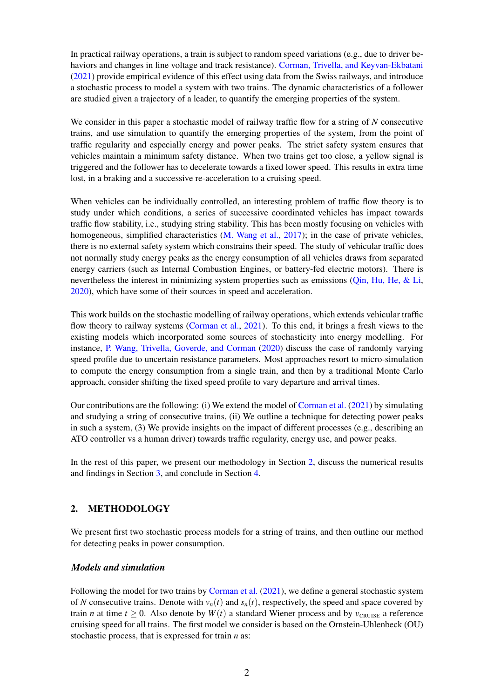In practical railway operations, a train is subject to random speed variations (e.g., due to driver behaviors and changes in line voltage and track resistance). [Corman, Trivella, and Keyvan-Ekbatani](#page-5-2) [\(2021\)](#page-5-2) provide empirical evidence of this effect using data from the Swiss railways, and introduce a stochastic process to model a system with two trains. The dynamic characteristics of a follower are studied given a trajectory of a leader, to quantify the emerging properties of the system.

We consider in this paper a stochastic model of railway traffic flow for a string of *N* consecutive trains, and use simulation to quantify the emerging properties of the system, from the point of traffic regularity and especially energy and power peaks. The strict safety system ensures that vehicles maintain a minimum safety distance. When two trains get too close, a yellow signal is triggered and the follower has to decelerate towards a fixed lower speed. This results in extra time lost, in a braking and a successive re-acceleration to a cruising speed.

When vehicles can be individually controlled, an interesting problem of traffic flow theory is to study under which conditions, a series of successive coordinated vehicles has impact towards traffic flow stability, i.e., studying string stability. This has been mostly focusing on vehicles with homogeneous, simplified characteristics [\(M. Wang et al.,](#page-6-1) [2017\)](#page-6-1); in the case of private vehicles, there is no external safety system which constrains their speed. The study of vehicular traffic does not normally study energy peaks as the energy consumption of all vehicles draws from separated energy carriers (such as Internal Combustion Engines, or battery-fed electric motors). There is nevertheless the interest in minimizing system properties such as emissions [\(Qin, Hu, He, & Li,](#page-6-2) [2020\)](#page-6-2), which have some of their sources in speed and acceleration.

This work builds on the stochastic modelling of railway operations, which extends vehicular traffic flow theory to railway systems [\(Corman et al.,](#page-5-2) [2021\)](#page-5-2). To this end, it brings a fresh views to the existing models which incorporated some sources of stochasticity into energy modelling. For instance, [P. Wang, Trivella, Goverde, and Corman](#page-6-3) [\(2020\)](#page-6-3) discuss the case of randomly varying speed profile due to uncertain resistance parameters. Most approaches resort to micro-simulation to compute the energy consumption from a single train, and then by a traditional Monte Carlo approach, consider shifting the fixed speed profile to vary departure and arrival times.

Our contributions are the following: (i) We extend the model of [Corman et al.](#page-5-2) [\(2021\)](#page-5-2) by simulating and studying a string of consecutive trains, (ii) We outline a technique for detecting power peaks in such a system, (3) We provide insights on the impact of different processes (e.g., describing an ATO controller vs a human driver) towards traffic regularity, energy use, and power peaks.

<span id="page-1-0"></span>In the rest of this paper, we present our methodology in Section [2,](#page-1-0) discuss the numerical results and findings in Section [3,](#page-2-0) and conclude in Section [4.](#page-5-3)

## 2. METHODOLOGY

We present first two stochastic process models for a string of trains, and then outline our method for detecting peaks in power consumption.

## *Models and simulation*

Following the model for two trains by [Corman et al.](#page-5-2) [\(2021\)](#page-5-2), we define a general stochastic system of *N* consecutive trains. Denote with  $v_n(t)$  and  $s_n(t)$ , respectively, the speed and space covered by train *n* at time  $t \geq 0$ . Also denote by  $W(t)$  a standard Wiener process and by  $v_{\text{CRUISE}}$  a reference cruising speed for all trains. The first model we consider is based on the Ornstein-Uhlenbeck (OU) stochastic process, that is expressed for train *n* as: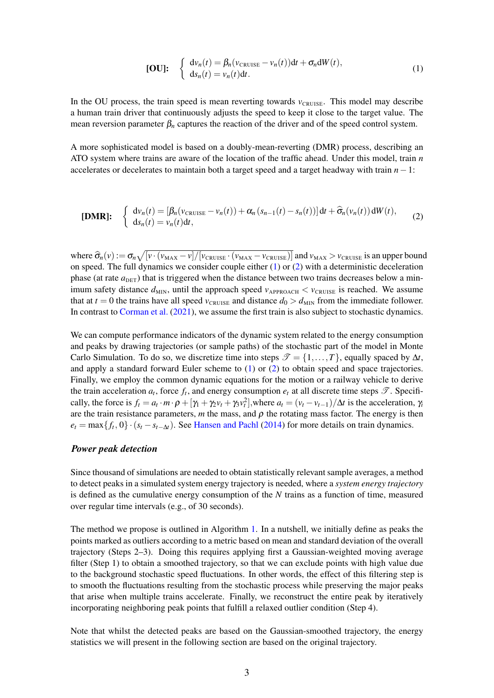<span id="page-2-1"></span>[OU]: 
$$
\begin{cases} dv_n(t) = \beta_n(v_{\text{CRUISE}} - v_n(t))dt + \sigma_n dW(t), \\ ds_n(t) = v_n(t)dt. \end{cases}
$$
(1)

In the OU process, the train speed is mean reverting towards  $v_{CRUISE}$ . This model may describe a human train driver that continuously adjusts the speed to keep it close to the target value. The mean reversion parameter  $\beta_n$  captures the reaction of the driver and of the speed control system.

A more sophisticated model is based on a doubly-mean-reverting (DMR) process, describing an ATO system where trains are aware of the location of the traffic ahead. Under this model, train *n* accelerates or decelerates to maintain both a target speed and a target headway with train *n*−1:

<span id="page-2-2"></span>
$$
[DMR]: \quad \begin{cases} \frac{dv_n(t)}{ds_n(t)} = \left[\beta_n(v_{\text{CRUSE}} - v_n(t)) + \alpha_n(s_{n-1}(t) - s_n(t))\right]dt + \widehat{\sigma}_n(v_n(t))dW(t), \\ ds_n(t) = v_n(t)dt, \end{cases} \tag{2}
$$

where  $\hat{\sigma}_n(v) := \sigma_n \sqrt{[v \cdot (v_{\text{MAX}} - v] / [v_{\text{CRUSE}} \cdot (v_{\text{MAX}} - v_{\text{CRUSE}})]}$  and  $v_{\text{MAX}} > v_{\text{CRUSE}}$  is an upper bound on speed. The full dynamics we consider couple either [\(1\)](#page-2-1) or [\(2\)](#page-2-2) with a deterministic deceleration phase (at rate  $a_{\text{DET}}$ ) that is triggered when the distance between two trains decreases below a minimum safety distance  $d_{MIN}$ , until the approach speed  $v_{APPROACH} < v_{CRUSE}$  is reached. We assume that at  $t = 0$  the trains have all speed  $v_{CRUISE}$  and distance  $d_0 > d_{MIN}$  from the immediate follower. In contrast to [Corman et al.](#page-5-2) [\(2021\)](#page-5-2), we assume the first train is also subject to stochastic dynamics.

We can compute performance indicators of the dynamic system related to the energy consumption and peaks by drawing trajectories (or sample paths) of the stochastic part of the model in Monte Carlo Simulation. To do so, we discretize time into steps  $\mathcal{T} = \{1, ..., T\}$ , equally spaced by  $\Delta t$ , and apply a standard forward Euler scheme to [\(1\)](#page-2-1) or [\(2\)](#page-2-2) to obtain speed and space trajectories. Finally, we employ the common dynamic equations for the motion or a railway vehicle to derive the train acceleration  $a_t$ , force  $f_t$ , and energy consumption  $e_t$  at all discrete time steps  $\mathscr{T}$ . Specifically, the force is  $f_t = a_t \cdot m \cdot \rho + [\gamma_1 + \gamma_2 v_t + \gamma_3 v_t^2]$ , where  $a_t = (v_t - v_{t-1})/\Delta t$  is the acceleration,  $\gamma_i$ are the train resistance parameters,  $m$  the mass, and  $\rho$  the rotating mass factor. The energy is then  $e_t = \max\{f_t, 0\} \cdot (s_t - s_{t-\Delta t})$ . See [Hansen and Pachl](#page-5-0) [\(2014\)](#page-5-0) for more details on train dynamics.

### *Power peak detection*

Since thousand of simulations are needed to obtain statistically relevant sample averages, a method to detect peaks in a simulated system energy trajectory is needed, where a *system energy trajectory* is defined as the cumulative energy consumption of the *N* trains as a function of time, measured over regular time intervals (e.g., of 30 seconds).

The method we propose is outlined in Algorithm [1.](#page-3-0) In a nutshell, we initially define as peaks the points marked as outliers according to a metric based on mean and standard deviation of the overall trajectory (Steps 2–3). Doing this requires applying first a Gaussian-weighted moving average filter (Step 1) to obtain a smoothed trajectory, so that we can exclude points with high value due to the background stochastic speed fluctuations. In other words, the effect of this filtering step is to smooth the fluctuations resulting from the stochastic process while preserving the major peaks that arise when multiple trains accelerate. Finally, we reconstruct the entire peak by iteratively incorporating neighboring peak points that fulfill a relaxed outlier condition (Step 4).

<span id="page-2-0"></span>Note that whilst the detected peaks are based on the Gaussian-smoothed trajectory, the energy statistics we will present in the following section are based on the original trajectory.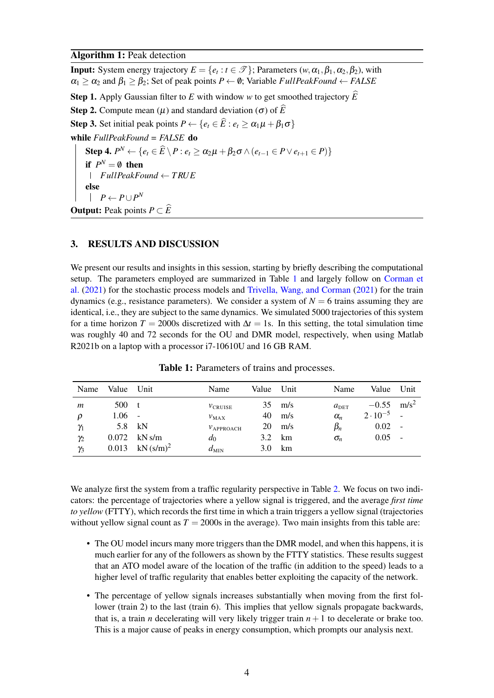#### Algorithm 1: Peak detection

**Input:** System energy trajectory  $E = \{e_t : t \in \mathcal{T}\}\;$ ; Parameters  $(w, \alpha_1, \beta_1, \alpha_2, \beta_2)$ , with  $\alpha_1 \geq \alpha_2$  and  $\beta_1 \geq \beta_2$ ; Set of peak points  $P \leftarrow \emptyset$ ; Variable *FullPeakFound*  $\leftarrow$  *FALSE* **Step 1.** Apply Gaussian filter to E with window w to get smoothed trajectory  $\widehat{E}$ Step 2. Compute mean  $(\mu)$  and standard deviation  $(\sigma)$  of  $\widehat{E}$ Step 3. Set initial peak points  $P \leftarrow \{e_t \in \widehat{E} : e_t > \alpha_1 \mu + \beta_1 \sigma\}$ while *FullPeakFound = FALSE* do Step 4.  $P^N \leftarrow \{e_t \in \widehat{E} \setminus P : e_t \ge \alpha_2 \mu + \beta_2 \sigma \wedge (e_{t-1} \in P \vee e_{t+1} \in P)\}\$ if  $P^N = \emptyset$  then *FullPeakFound* ← *T RUE* else  $P \leftarrow P \cup P^N$ **Output:** Peak points  $P \subset \widehat{E}$ 

## <span id="page-3-0"></span>3. RESULTS AND DISCUSSION

We present our results and insights in this session, starting by briefly describing the computational setup. The parameters employed are summarized in Table [1](#page-3-1) and largely follow on [Corman et](#page-5-2) [al.](#page-5-2) [\(2021\)](#page-5-2) for the stochastic process models and [Trivella, Wang, and Corman](#page-6-4) [\(2021\)](#page-6-4) for the train dynamics (e.g., resistance parameters). We consider a system of  $N = 6$  trains assuming they are identical, i.e., they are subject to the same dynamics. We simulated 5000 trajectories of this system for a time horizon *T* = 2000s discretized with  $\Delta t = 1$ s. In this setting, the total simulation time was roughly 40 and 72 seconds for the OU and DMR model, respectively, when using Matlab R2021b on a laptop with a processor i7-10610U and 16 GB RAM.

<span id="page-3-1"></span>

| Name       | Value Unit |                         | Name             | Value | Unit | Name             | Value             | Unit    |
|------------|------------|-------------------------|------------------|-------|------|------------------|-------------------|---------|
| m          | 500        | t                       | $v_{CRUISE}$     | 35    | m/s  | $a_{\text{DET}}$ | $-0.55$           | $m/s^2$ |
| ρ          | 1.06       | $\sim$                  | $v_{MAX}$        | 40    | m/s  | $\alpha_n$       | $2 \cdot 10^{-5}$ |         |
| $\gamma_1$ |            | 5.8 kN                  | $v_{APPROACH}$   | 20    | m/s  | $\beta_n$        | 0.02              | $\sim$  |
| $\gamma_2$ | 0.072      | kN s/m                  | $d_0$            | 3.2   | km   | $\sigma_n$       | $0.05 -$          |         |
| $\gamma_3$ | 0.013      | $kN$ (s/m) <sup>2</sup> | $d_{\text{MIN}}$ | 3.0   | km   |                  |                   |         |

Table 1: Parameters of trains and processes.

We analyze first the system from a traffic regularity perspective in Table [2.](#page-4-0) We focus on two indicators: the percentage of trajectories where a yellow signal is triggered, and the average *first time to yellow* (FTTY), which records the first time in which a train triggers a yellow signal (trajectories without yellow signal count as  $T = 2000s$  in the average). Two main insights from this table are:

- The OU model incurs many more triggers than the DMR model, and when this happens, it is much earlier for any of the followers as shown by the FTTY statistics. These results suggest that an ATO model aware of the location of the traffic (in addition to the speed) leads to a higher level of traffic regularity that enables better exploiting the capacity of the network.
- The percentage of yellow signals increases substantially when moving from the first follower (train 2) to the last (train 6). This implies that yellow signals propagate backwards, that is, a train *n* decelerating will very likely trigger train  $n+1$  to decelerate or brake too. This is a major cause of peaks in energy consumption, which prompts our analysis next.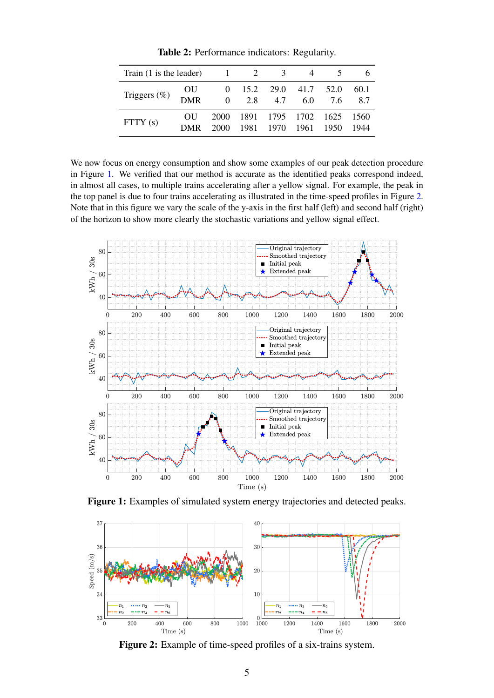<span id="page-4-0"></span>

| Train (1 is the leader)   |                  |              | 1 2                                         | $\overline{3}$    |      |              |              |
|---------------------------|------------------|--------------|---------------------------------------------|-------------------|------|--------------|--------------|
| Triggers $(\%)$ OU<br>DMR |                  | 0            | $0 \quad 15.2 \quad 29.0 \quad 41.7$<br>2.8 | 4.7               | 6.0  | 52.0<br>7.6  | 60.1<br>8.7  |
| FTTY(s)                   | OU<br><b>DMR</b> | 2000<br>2000 | 1891<br>1981                                | 1795 1702<br>1970 | 1961 | 1625<br>1950 | 1560<br>1944 |

Table 2: Performance indicators: Regularity.

We now focus on energy consumption and show some examples of our peak detection procedure in Figure [1.](#page-4-1) We verified that our method is accurate as the identified peaks correspond indeed, in almost all cases, to multiple trains accelerating after a yellow signal. For example, the peak in the top panel is due to four trains accelerating as illustrated in the time-speed profiles in Figure [2.](#page-4-2) Note that in this figure we vary the scale of the y-axis in the first half (left) and second half (right) of the horizon to show more clearly the stochastic variations and yellow signal effect.

<span id="page-4-1"></span>

Figure 1: Examples of simulated system energy trajectories and detected peaks.

<span id="page-4-2"></span>

Figure 2: Example of time-speed profiles of a six-trains system.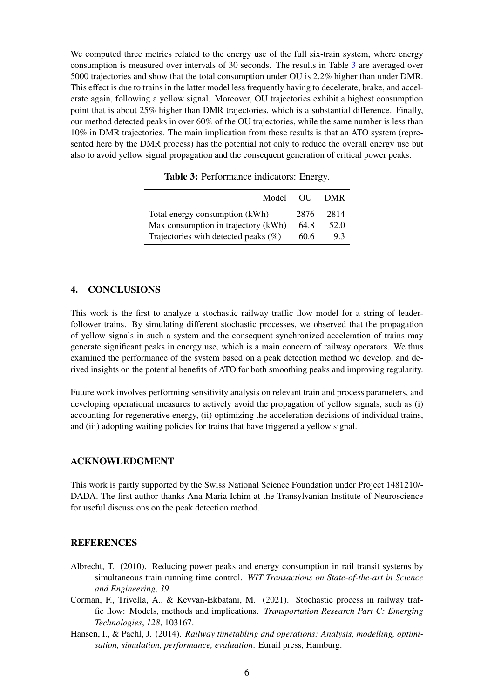We computed three metrics related to the energy use of the full six-train system, where energy consumption is measured over intervals of 30 seconds. The results in Table [3](#page-5-4) are averaged over 5000 trajectories and show that the total consumption under OU is 2.2% higher than under DMR. This effect is due to trains in the latter model less frequently having to decelerate, brake, and accelerate again, following a yellow signal. Moreover, OU trajectories exhibit a highest consumption point that is about 25% higher than DMR trajectories, which is a substantial difference. Finally, our method detected peaks in over 60% of the OU trajectories, while the same number is less than 10% in DMR trajectories. The main implication from these results is that an ATO system (represented here by the DMR process) has the potential not only to reduce the overall energy use but also to avoid yellow signal propagation and the consequent generation of critical power peaks.

<span id="page-5-4"></span>

| Model                                   | - OU | <b>DMR</b> |
|-----------------------------------------|------|------------|
| Total energy consumption (kWh)          | 2876 | 2814       |
| Max consumption in trajectory (kWh)     | 64.8 | 52.0       |
| Trajectories with detected peaks $(\%)$ | 60.6 | 93         |

Table 3: Performance indicators: Energy.

### <span id="page-5-3"></span>4. CONCLUSIONS

This work is the first to analyze a stochastic railway traffic flow model for a string of leaderfollower trains. By simulating different stochastic processes, we observed that the propagation of yellow signals in such a system and the consequent synchronized acceleration of trains may generate significant peaks in energy use, which is a main concern of railway operators. We thus examined the performance of the system based on a peak detection method we develop, and derived insights on the potential benefits of ATO for both smoothing peaks and improving regularity.

Future work involves performing sensitivity analysis on relevant train and process parameters, and developing operational measures to actively avoid the propagation of yellow signals, such as (i) accounting for regenerative energy, (ii) optimizing the acceleration decisions of individual trains, and (iii) adopting waiting policies for trains that have triggered a yellow signal.

#### ACKNOWLEDGMENT

This work is partly supported by the Swiss National Science Foundation under Project 1481210/- DADA. The first author thanks Ana Maria Ichim at the Transylvanian Institute of Neuroscience for useful discussions on the peak detection method.

#### **REFERENCES**

- <span id="page-5-1"></span>Albrecht, T. (2010). Reducing power peaks and energy consumption in rail transit systems by simultaneous train running time control. *WIT Transactions on State-of-the-art in Science and Engineering*, *39*.
- <span id="page-5-2"></span>Corman, F., Trivella, A., & Keyvan-Ekbatani, M. (2021). Stochastic process in railway traffic flow: Models, methods and implications. *Transportation Research Part C: Emerging Technologies*, *128*, 103167.
- <span id="page-5-0"></span>Hansen, I., & Pachl, J. (2014). *Railway timetabling and operations: Analysis, modelling, optimisation, simulation, performance, evaluation*. Eurail press, Hamburg.